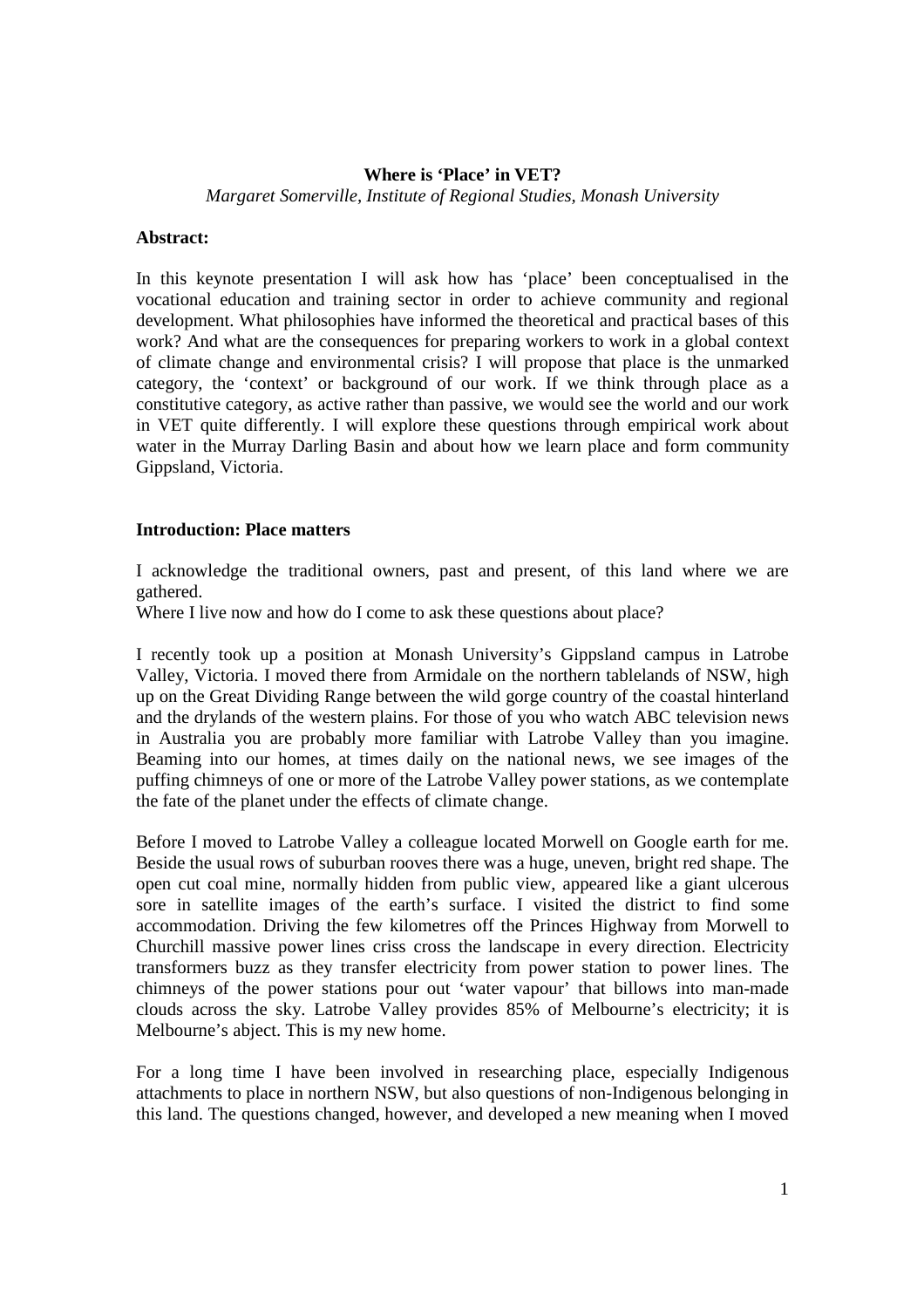#### **Where is 'Place' in VET?**

*Margaret Somerville, Institute of Regional Studies, Monash University* 

#### **Abstract:**

In this keynote presentation I will ask how has 'place' been conceptualised in the vocational education and training sector in order to achieve community and regional development. What philosophies have informed the theoretical and practical bases of this work? And what are the consequences for preparing workers to work in a global context of climate change and environmental crisis? I will propose that place is the unmarked category, the 'context' or background of our work. If we think through place as a constitutive category, as active rather than passive, we would see the world and our work in VET quite differently. I will explore these questions through empirical work about water in the Murray Darling Basin and about how we learn place and form community Gippsland, Victoria.

#### **Introduction: Place matters**

I acknowledge the traditional owners, past and present, of this land where we are gathered.

Where I live now and how do I come to ask these questions about place?

I recently took up a position at Monash University's Gippsland campus in Latrobe Valley, Victoria. I moved there from Armidale on the northern tablelands of NSW, high up on the Great Dividing Range between the wild gorge country of the coastal hinterland and the drylands of the western plains. For those of you who watch ABC television news in Australia you are probably more familiar with Latrobe Valley than you imagine. Beaming into our homes, at times daily on the national news, we see images of the puffing chimneys of one or more of the Latrobe Valley power stations, as we contemplate the fate of the planet under the effects of climate change.

Before I moved to Latrobe Valley a colleague located Morwell on Google earth for me. Beside the usual rows of suburban rooves there was a huge, uneven, bright red shape. The open cut coal mine, normally hidden from public view, appeared like a giant ulcerous sore in satellite images of the earth's surface. I visited the district to find some accommodation. Driving the few kilometres off the Princes Highway from Morwell to Churchill massive power lines criss cross the landscape in every direction. Electricity transformers buzz as they transfer electricity from power station to power lines. The chimneys of the power stations pour out 'water vapour' that billows into man-made clouds across the sky. Latrobe Valley provides 85% of Melbourne's electricity; it is Melbourne's abject. This is my new home.

For a long time I have been involved in researching place, especially Indigenous attachments to place in northern NSW, but also questions of non-Indigenous belonging in this land. The questions changed, however, and developed a new meaning when I moved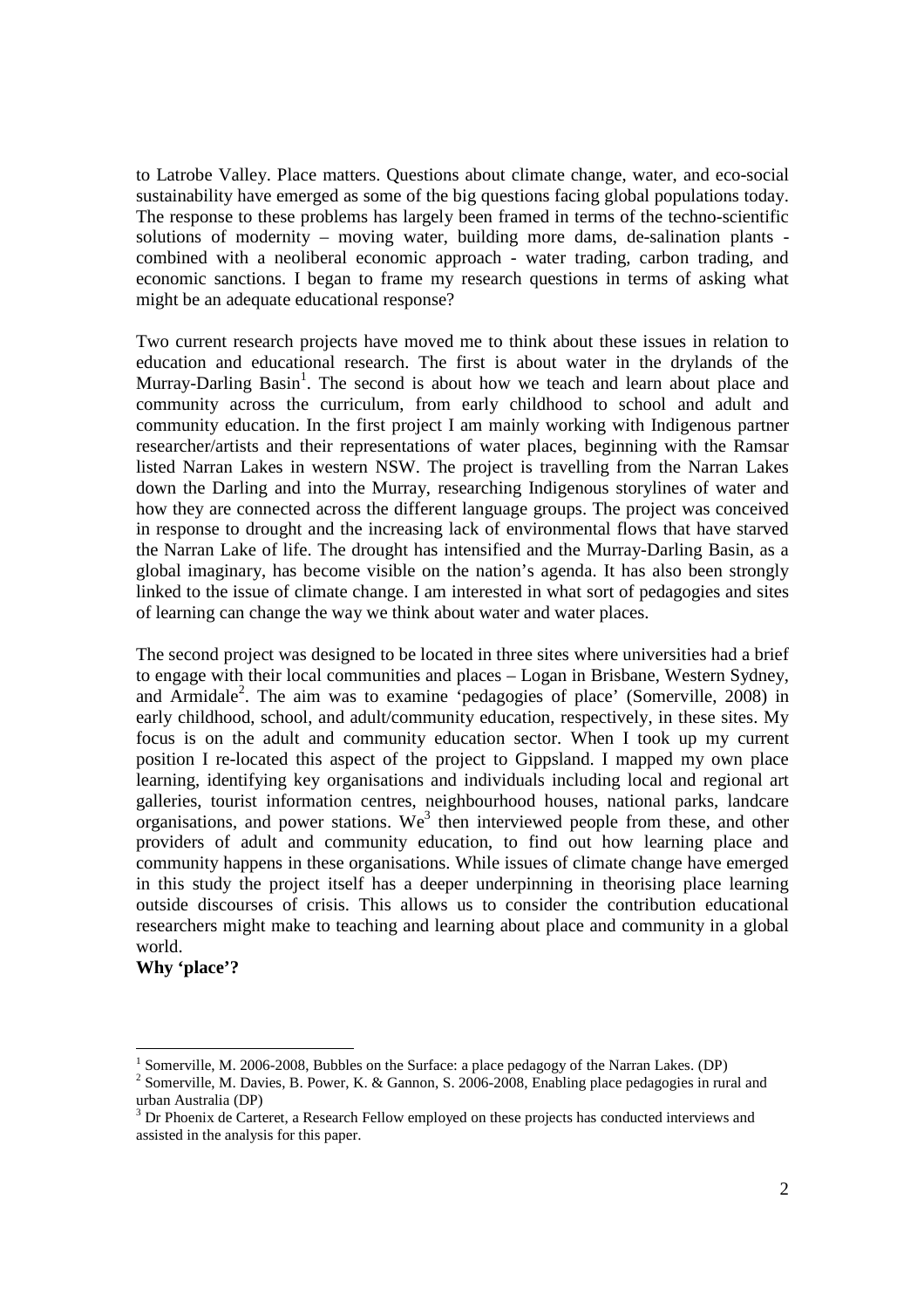to Latrobe Valley. Place matters. Questions about climate change, water, and eco-social sustainability have emerged as some of the big questions facing global populations today. The response to these problems has largely been framed in terms of the techno-scientific solutions of modernity – moving water, building more dams, de-salination plants combined with a neoliberal economic approach - water trading, carbon trading, and economic sanctions. I began to frame my research questions in terms of asking what might be an adequate educational response?

Two current research projects have moved me to think about these issues in relation to education and educational research. The first is about water in the drylands of the Murray-Darling Basin<sup>1</sup>. The second is about how we teach and learn about place and community across the curriculum, from early childhood to school and adult and community education. In the first project I am mainly working with Indigenous partner researcher/artists and their representations of water places, beginning with the Ramsar listed Narran Lakes in western NSW. The project is travelling from the Narran Lakes down the Darling and into the Murray, researching Indigenous storylines of water and how they are connected across the different language groups. The project was conceived in response to drought and the increasing lack of environmental flows that have starved the Narran Lake of life. The drought has intensified and the Murray-Darling Basin, as a global imaginary, has become visible on the nation's agenda. It has also been strongly linked to the issue of climate change. I am interested in what sort of pedagogies and sites of learning can change the way we think about water and water places.

The second project was designed to be located in three sites where universities had a brief to engage with their local communities and places – Logan in Brisbane, Western Sydney, and Armidale<sup>2</sup>. The aim was to examine 'pedagogies of place' (Somerville, 2008) in early childhood, school, and adult/community education, respectively, in these sites. My focus is on the adult and community education sector. When I took up my current position I re-located this aspect of the project to Gippsland. I mapped my own place learning, identifying key organisations and individuals including local and regional art galleries, tourist information centres, neighbourhood houses, national parks, landcare  $organisations$ , and power stations. We $3$  then interviewed people from these, and other providers of adult and community education, to find out how learning place and community happens in these organisations. While issues of climate change have emerged in this study the project itself has a deeper underpinning in theorising place learning outside discourses of crisis. This allows us to consider the contribution educational researchers might make to teaching and learning about place and community in a global world.

**Why 'place'?** 

-

<sup>&</sup>lt;sup>1</sup> Somerville, M. 2006-2008, Bubbles on the Surface: a place pedagogy of the Narran Lakes. (DP)

<sup>&</sup>lt;sup>2</sup> Somerville, M. Davies, B. Power, K. & Gannon, S. 2006-2008, Enabling place pedagogies in rural and urban Australia (DP)

 $3$  Dr Phoenix de Carteret, a Research Fellow employed on these projects has conducted interviews and assisted in the analysis for this paper.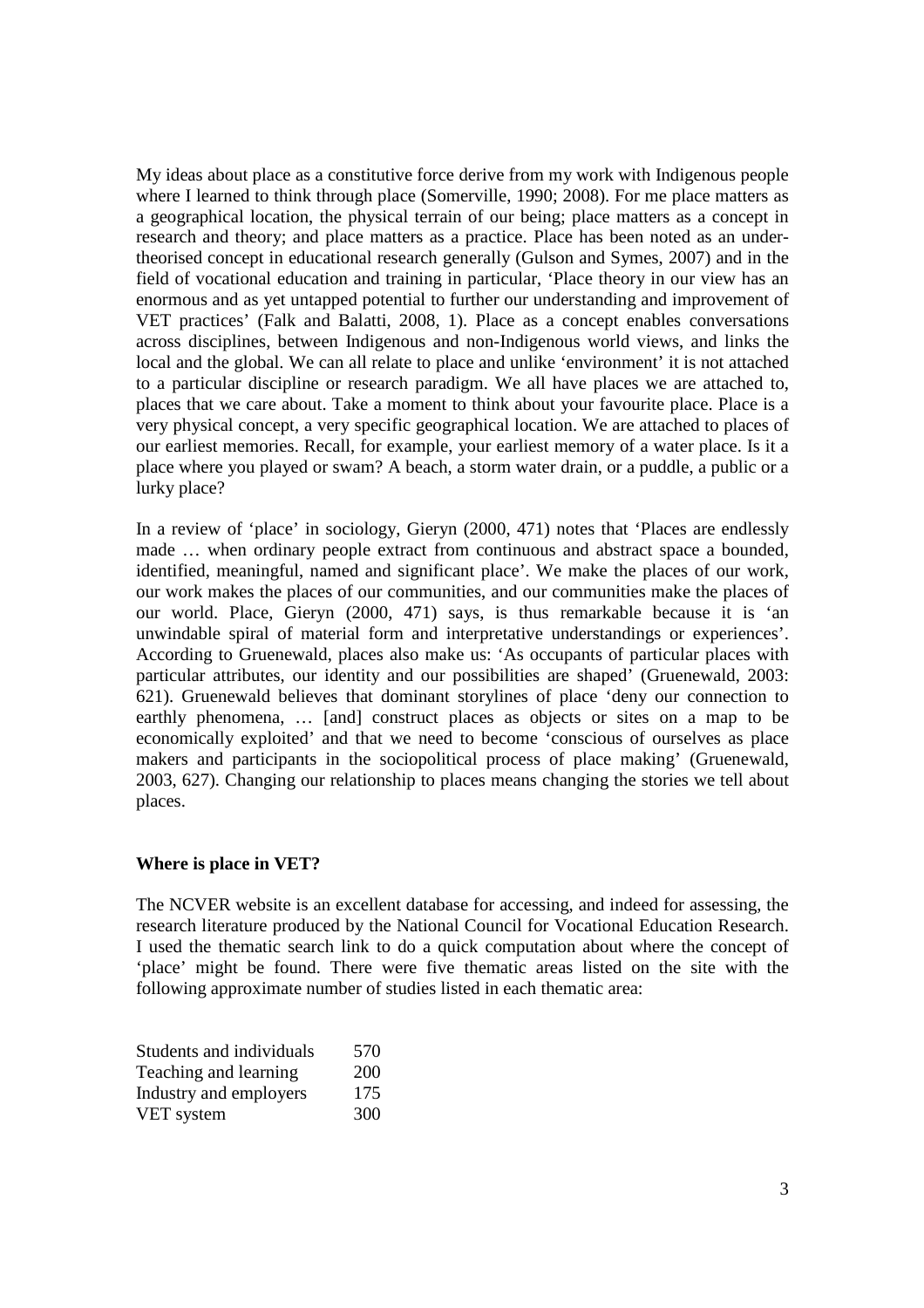My ideas about place as a constitutive force derive from my work with Indigenous people where I learned to think through place (Somerville, 1990; 2008). For me place matters as a geographical location, the physical terrain of our being; place matters as a concept in research and theory; and place matters as a practice. Place has been noted as an undertheorised concept in educational research generally (Gulson and Symes, 2007) and in the field of vocational education and training in particular, 'Place theory in our view has an enormous and as yet untapped potential to further our understanding and improvement of VET practices' (Falk and Balatti, 2008, 1). Place as a concept enables conversations across disciplines, between Indigenous and non-Indigenous world views, and links the local and the global. We can all relate to place and unlike 'environment' it is not attached to a particular discipline or research paradigm. We all have places we are attached to, places that we care about. Take a moment to think about your favourite place. Place is a very physical concept, a very specific geographical location. We are attached to places of our earliest memories. Recall, for example, your earliest memory of a water place. Is it a place where you played or swam? A beach, a storm water drain, or a puddle, a public or a lurky place?

In a review of 'place' in sociology, Gieryn (2000, 471) notes that 'Places are endlessly made … when ordinary people extract from continuous and abstract space a bounded, identified, meaningful, named and significant place'. We make the places of our work, our work makes the places of our communities, and our communities make the places of our world. Place, Gieryn (2000, 471) says, is thus remarkable because it is 'an unwindable spiral of material form and interpretative understandings or experiences'. According to Gruenewald, places also make us: 'As occupants of particular places with particular attributes, our identity and our possibilities are shaped' (Gruenewald, 2003: 621). Gruenewald believes that dominant storylines of place 'deny our connection to earthly phenomena, ... [and] construct places as objects or sites on a map to be economically exploited' and that we need to become 'conscious of ourselves as place makers and participants in the sociopolitical process of place making' (Gruenewald, 2003, 627). Changing our relationship to places means changing the stories we tell about places.

# **Where is place in VET?**

The NCVER website is an excellent database for accessing, and indeed for assessing, the research literature produced by the National Council for Vocational Education Research. I used the thematic search link to do a quick computation about where the concept of 'place' might be found. There were five thematic areas listed on the site with the following approximate number of studies listed in each thematic area:

| Students and individuals | 570        |
|--------------------------|------------|
| Teaching and learning    | <b>200</b> |
| Industry and employers   | 175        |
| VET system               | 300        |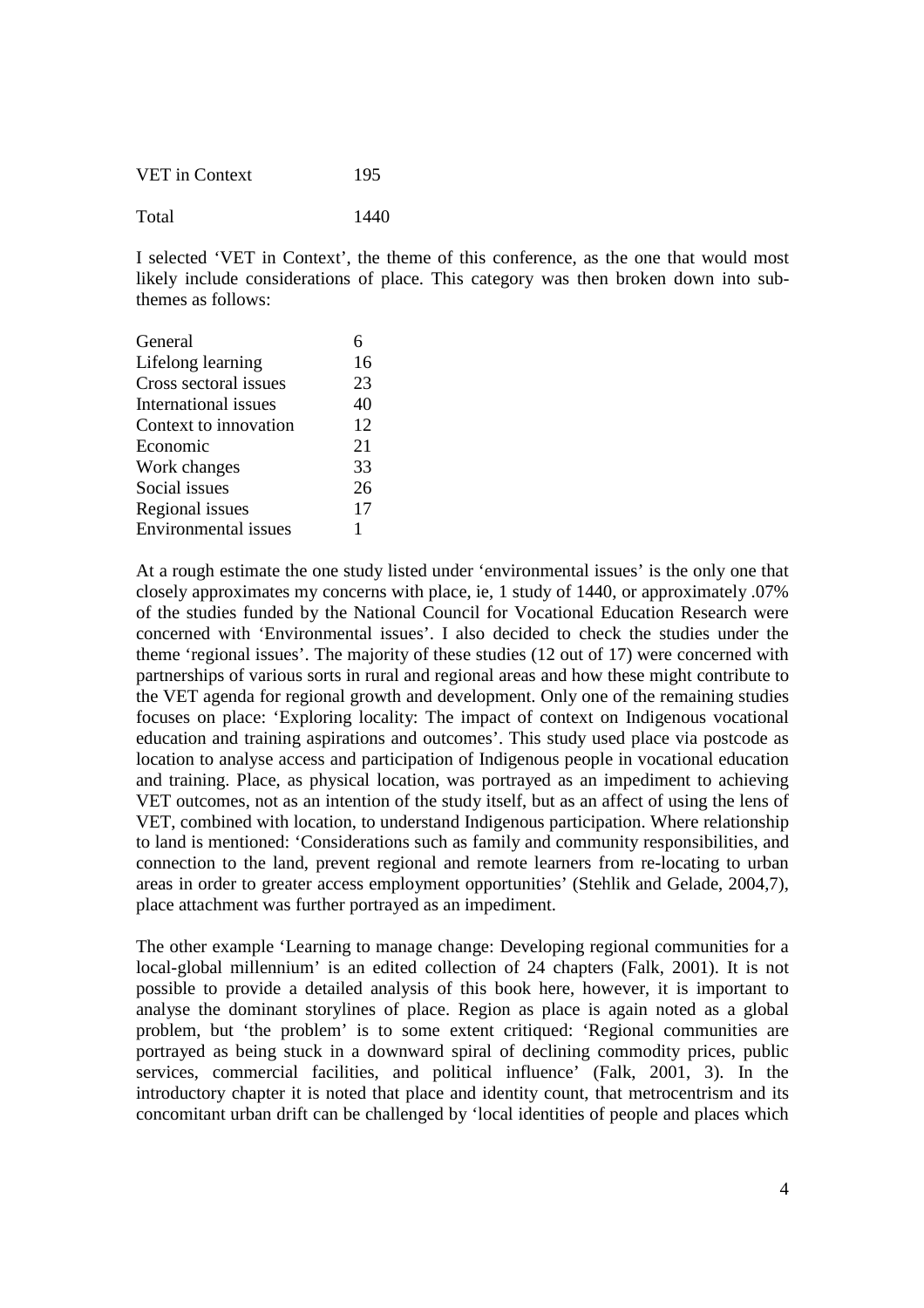| VET in Context | 195  |
|----------------|------|
| Total          | 1440 |

I selected 'VET in Context', the theme of this conference, as the one that would most likely include considerations of place. This category was then broken down into subthemes as follows:

| General                     | 6  |
|-----------------------------|----|
| Lifelong learning           | 16 |
| Cross sectoral issues       | 23 |
| International issues        | 40 |
| Context to innovation       | 12 |
| Economic                    | 21 |
| Work changes                | 33 |
| Social issues               | 26 |
| Regional issues             | 17 |
| <b>Environmental</b> issues | 1  |
|                             |    |

At a rough estimate the one study listed under 'environmental issues' is the only one that closely approximates my concerns with place, ie, 1 study of 1440, or approximately .07% of the studies funded by the National Council for Vocational Education Research were concerned with 'Environmental issues'. I also decided to check the studies under the theme 'regional issues'. The majority of these studies (12 out of 17) were concerned with partnerships of various sorts in rural and regional areas and how these might contribute to the VET agenda for regional growth and development. Only one of the remaining studies focuses on place: 'Exploring locality: The impact of context on Indigenous vocational education and training aspirations and outcomes'. This study used place via postcode as location to analyse access and participation of Indigenous people in vocational education and training. Place, as physical location, was portrayed as an impediment to achieving VET outcomes, not as an intention of the study itself, but as an affect of using the lens of VET, combined with location, to understand Indigenous participation. Where relationship to land is mentioned: 'Considerations such as family and community responsibilities, and connection to the land, prevent regional and remote learners from re-locating to urban areas in order to greater access employment opportunities' (Stehlik and Gelade, 2004,7), place attachment was further portrayed as an impediment.

The other example 'Learning to manage change: Developing regional communities for a local-global millennium' is an edited collection of 24 chapters (Falk, 2001). It is not possible to provide a detailed analysis of this book here, however, it is important to analyse the dominant storylines of place. Region as place is again noted as a global problem, but 'the problem' is to some extent critiqued: 'Regional communities are portrayed as being stuck in a downward spiral of declining commodity prices, public services, commercial facilities, and political influence' (Falk, 2001, 3). In the introductory chapter it is noted that place and identity count, that metrocentrism and its concomitant urban drift can be challenged by 'local identities of people and places which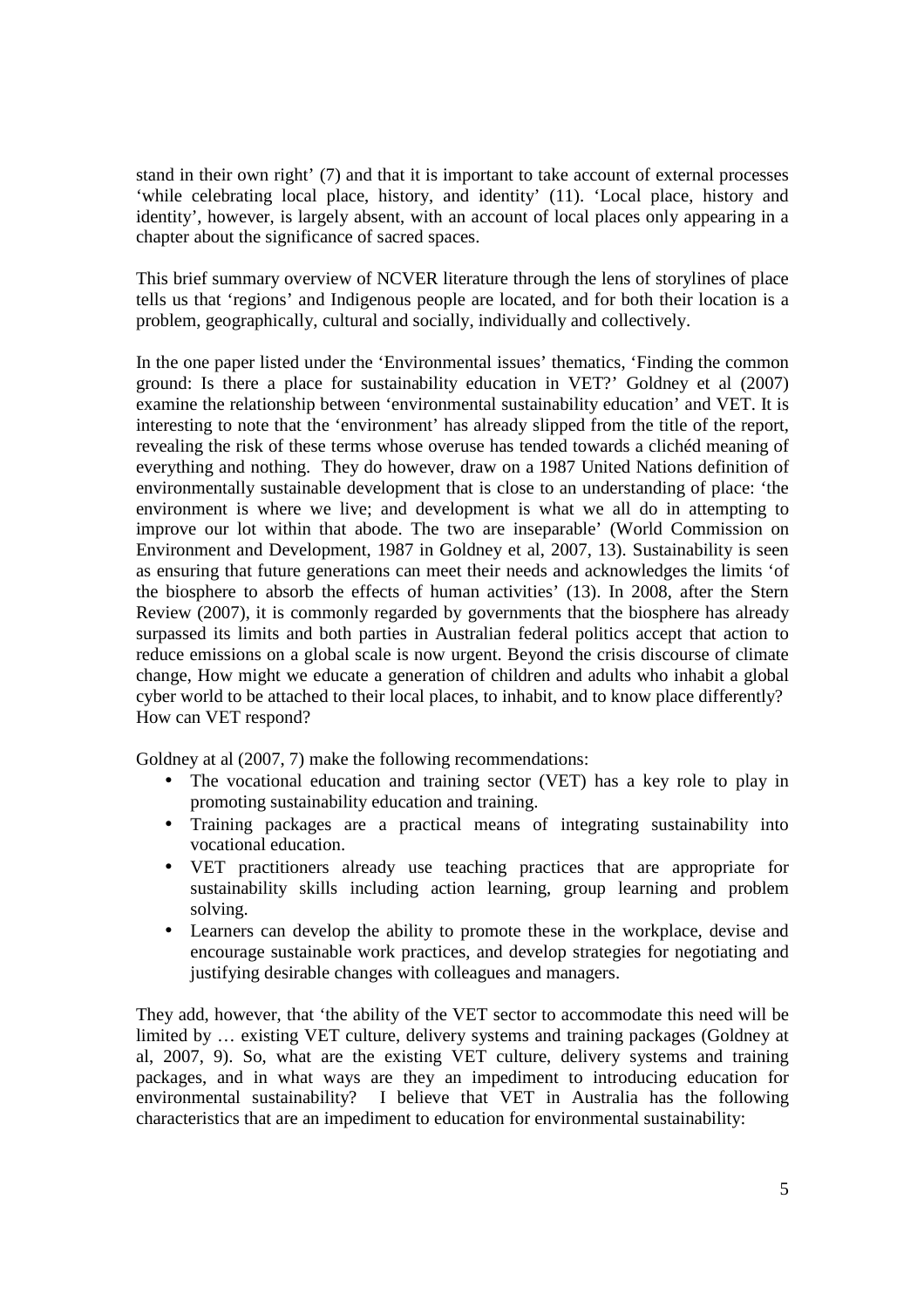stand in their own right' (7) and that it is important to take account of external processes 'while celebrating local place, history, and identity' (11). 'Local place, history and identity', however, is largely absent, with an account of local places only appearing in a chapter about the significance of sacred spaces.

This brief summary overview of NCVER literature through the lens of storylines of place tells us that 'regions' and Indigenous people are located, and for both their location is a problem, geographically, cultural and socially, individually and collectively.

In the one paper listed under the 'Environmental issues' thematics, 'Finding the common ground: Is there a place for sustainability education in VET?' Goldney et al (2007) examine the relationship between 'environmental sustainability education' and VET. It is interesting to note that the 'environment' has already slipped from the title of the report, revealing the risk of these terms whose overuse has tended towards a clichéd meaning of everything and nothing. They do however, draw on a 1987 United Nations definition of environmentally sustainable development that is close to an understanding of place: 'the environment is where we live; and development is what we all do in attempting to improve our lot within that abode. The two are inseparable' (World Commission on Environment and Development, 1987 in Goldney et al, 2007, 13). Sustainability is seen as ensuring that future generations can meet their needs and acknowledges the limits 'of the biosphere to absorb the effects of human activities' (13). In 2008, after the Stern Review (2007), it is commonly regarded by governments that the biosphere has already surpassed its limits and both parties in Australian federal politics accept that action to reduce emissions on a global scale is now urgent. Beyond the crisis discourse of climate change, How might we educate a generation of children and adults who inhabit a global cyber world to be attached to their local places, to inhabit, and to know place differently? How can VET respond?

Goldney at al (2007, 7) make the following recommendations:

- The vocational education and training sector (VET) has a key role to play in promoting sustainability education and training.
- Training packages are a practical means of integrating sustainability into vocational education.
- VET practitioners already use teaching practices that are appropriate for sustainability skills including action learning, group learning and problem solving.
- Learners can develop the ability to promote these in the workplace, devise and encourage sustainable work practices, and develop strategies for negotiating and justifying desirable changes with colleagues and managers.

They add, however, that 'the ability of the VET sector to accommodate this need will be limited by … existing VET culture, delivery systems and training packages (Goldney at al, 2007, 9). So, what are the existing VET culture, delivery systems and training packages, and in what ways are they an impediment to introducing education for environmental sustainability? I believe that VET in Australia has the following characteristics that are an impediment to education for environmental sustainability: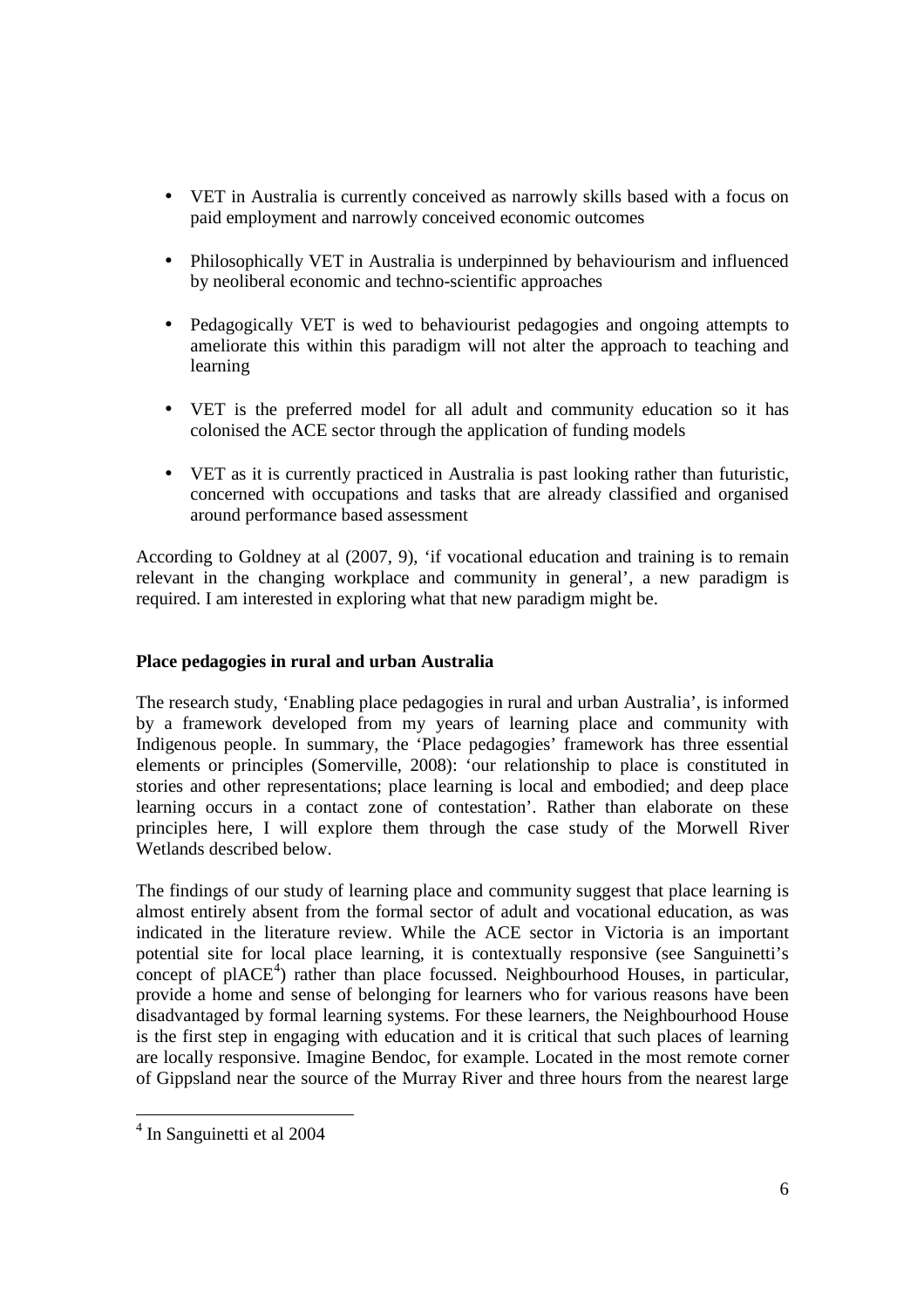- VET in Australia is currently conceived as narrowly skills based with a focus on paid employment and narrowly conceived economic outcomes
- Philosophically VET in Australia is underpinned by behaviourism and influenced by neoliberal economic and techno-scientific approaches
- Pedagogically VET is wed to behaviourist pedagogies and ongoing attempts to ameliorate this within this paradigm will not alter the approach to teaching and learning
- VET is the preferred model for all adult and community education so it has colonised the ACE sector through the application of funding models
- VET as it is currently practiced in Australia is past looking rather than futuristic, concerned with occupations and tasks that are already classified and organised around performance based assessment

According to Goldney at al (2007, 9), 'if vocational education and training is to remain relevant in the changing workplace and community in general', a new paradigm is required. I am interested in exploring what that new paradigm might be.

# **Place pedagogies in rural and urban Australia**

The research study, 'Enabling place pedagogies in rural and urban Australia', is informed by a framework developed from my years of learning place and community with Indigenous people. In summary, the 'Place pedagogies' framework has three essential elements or principles (Somerville, 2008): 'our relationship to place is constituted in stories and other representations; place learning is local and embodied; and deep place learning occurs in a contact zone of contestation'. Rather than elaborate on these principles here, I will explore them through the case study of the Morwell River Wetlands described below.

The findings of our study of learning place and community suggest that place learning is almost entirely absent from the formal sector of adult and vocational education, as was indicated in the literature review. While the ACE sector in Victoria is an important potential site for local place learning, it is contextually responsive (see Sanguinetti's concept of  $p|ACE<sup>4</sup>$ ) rather than place focussed. Neighbourhood Houses, in particular, provide a home and sense of belonging for learners who for various reasons have been disadvantaged by formal learning systems. For these learners, the Neighbourhood House is the first step in engaging with education and it is critical that such places of learning are locally responsive. Imagine Bendoc, for example. Located in the most remote corner of Gippsland near the source of the Murray River and three hours from the nearest large

<u>.</u>

<sup>&</sup>lt;sup>4</sup> In Sanguinetti et al 2004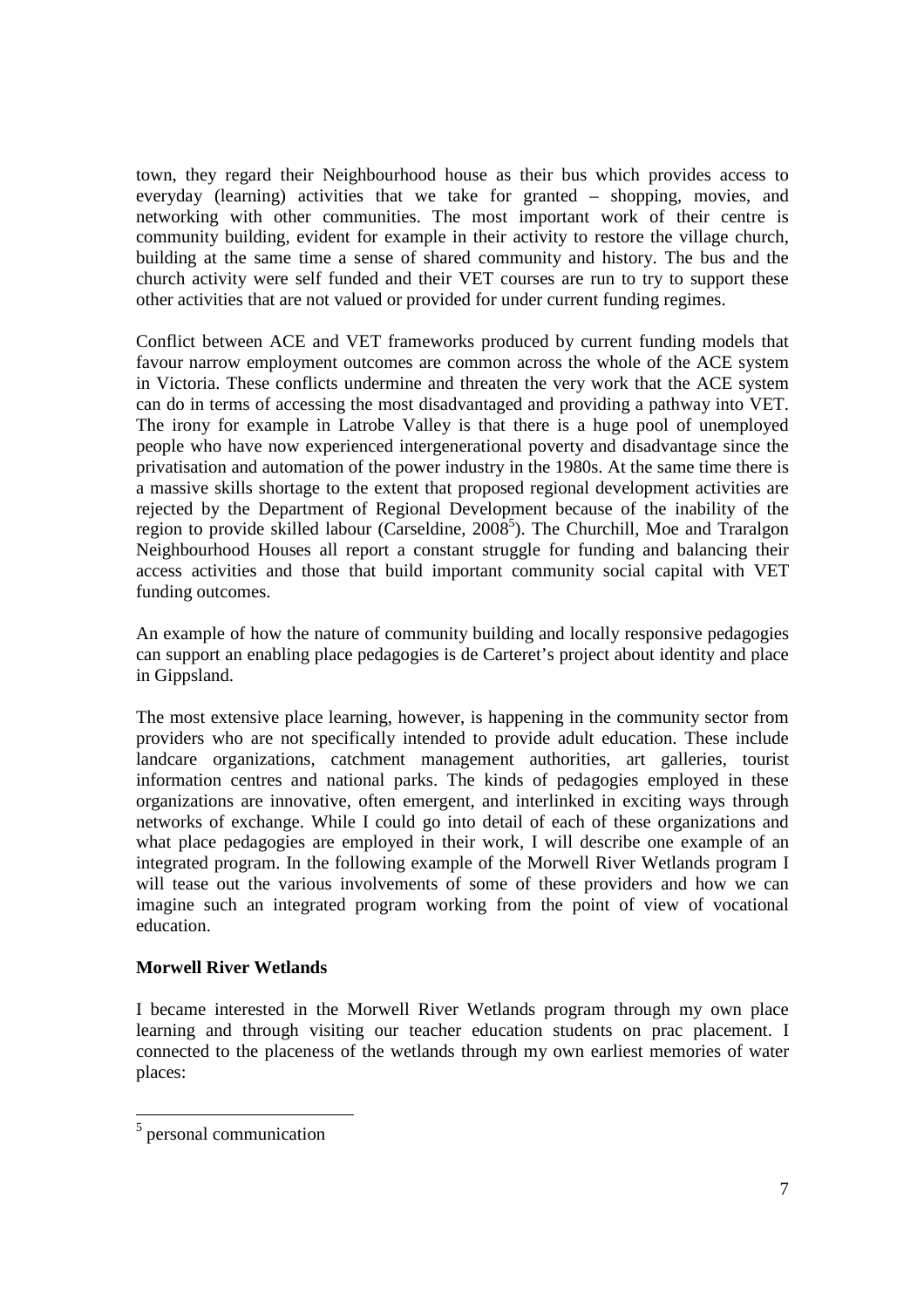town, they regard their Neighbourhood house as their bus which provides access to everyday (learning) activities that we take for granted – shopping, movies, and networking with other communities. The most important work of their centre is community building, evident for example in their activity to restore the village church, building at the same time a sense of shared community and history. The bus and the church activity were self funded and their VET courses are run to try to support these other activities that are not valued or provided for under current funding regimes.

Conflict between ACE and VET frameworks produced by current funding models that favour narrow employment outcomes are common across the whole of the ACE system in Victoria. These conflicts undermine and threaten the very work that the ACE system can do in terms of accessing the most disadvantaged and providing a pathway into VET. The irony for example in Latrobe Valley is that there is a huge pool of unemployed people who have now experienced intergenerational poverty and disadvantage since the privatisation and automation of the power industry in the 1980s. At the same time there is a massive skills shortage to the extent that proposed regional development activities are rejected by the Department of Regional Development because of the inability of the region to provide skilled labour (Carseldine, 2008<sup>5</sup>). The Churchill, Moe and Traralgon Neighbourhood Houses all report a constant struggle for funding and balancing their access activities and those that build important community social capital with VET funding outcomes.

An example of how the nature of community building and locally responsive pedagogies can support an enabling place pedagogies is de Carteret's project about identity and place in Gippsland.

The most extensive place learning, however, is happening in the community sector from providers who are not specifically intended to provide adult education. These include landcare organizations, catchment management authorities, art galleries, tourist information centres and national parks. The kinds of pedagogies employed in these organizations are innovative, often emergent, and interlinked in exciting ways through networks of exchange. While I could go into detail of each of these organizations and what place pedagogies are employed in their work, I will describe one example of an integrated program. In the following example of the Morwell River Wetlands program I will tease out the various involvements of some of these providers and how we can imagine such an integrated program working from the point of view of vocational education.

# **Morwell River Wetlands**

I became interested in the Morwell River Wetlands program through my own place learning and through visiting our teacher education students on prac placement. I connected to the placeness of the wetlands through my own earliest memories of water places:

<u>.</u>

<sup>&</sup>lt;sup>5</sup> personal communication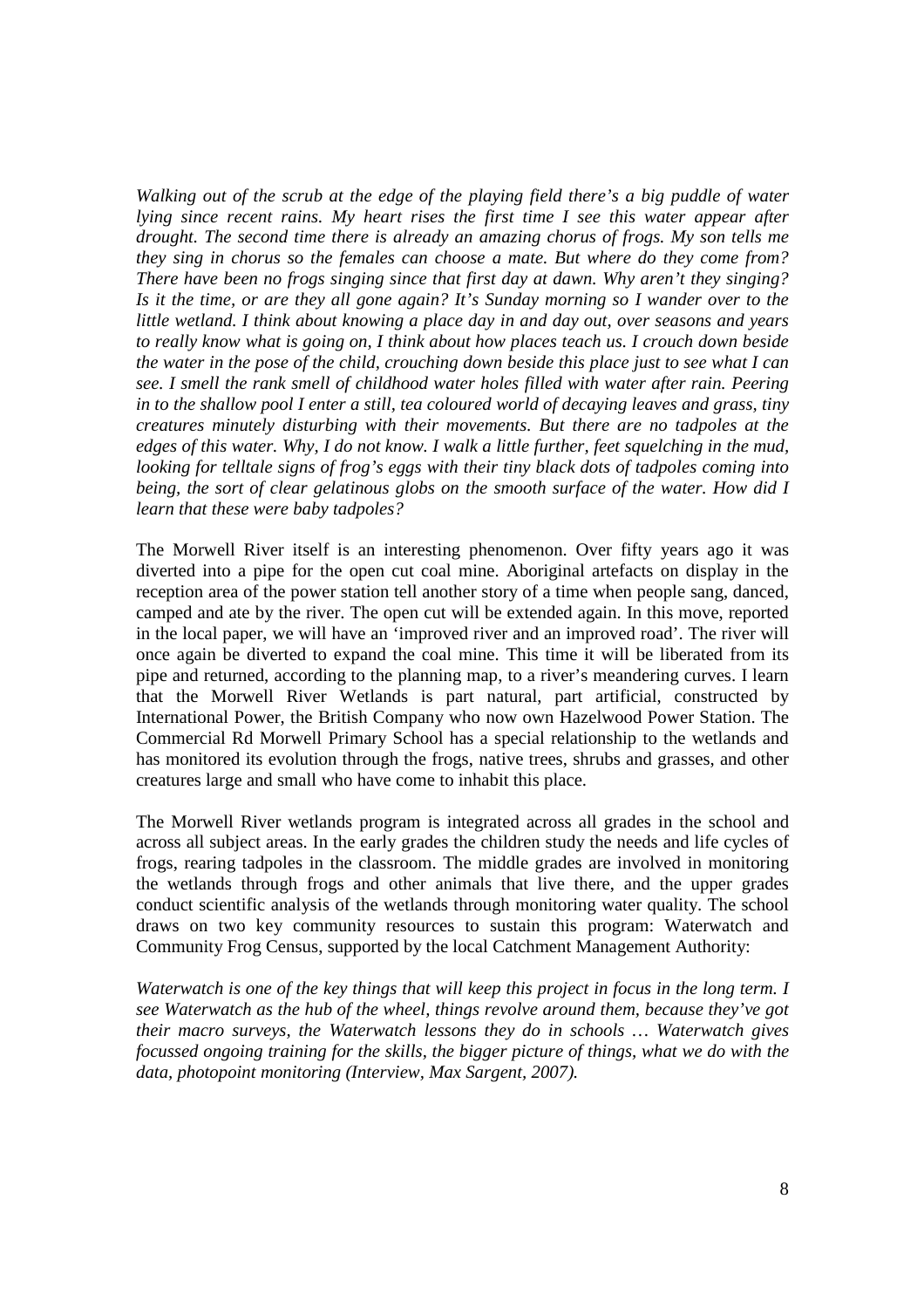*Walking out of the scrub at the edge of the playing field there's a big puddle of water lying since recent rains. My heart rises the first time I see this water appear after drought. The second time there is already an amazing chorus of frogs. My son tells me they sing in chorus so the females can choose a mate. But where do they come from? There have been no frogs singing since that first day at dawn. Why aren't they singing? Is it the time, or are they all gone again? It's Sunday morning so I wander over to the little wetland. I think about knowing a place day in and day out, over seasons and years to really know what is going on, I think about how places teach us. I crouch down beside the water in the pose of the child, crouching down beside this place just to see what I can see. I smell the rank smell of childhood water holes filled with water after rain. Peering in to the shallow pool I enter a still, tea coloured world of decaying leaves and grass, tiny creatures minutely disturbing with their movements. But there are no tadpoles at the edges of this water. Why, I do not know. I walk a little further, feet squelching in the mud, looking for telltale signs of frog's eggs with their tiny black dots of tadpoles coming into being, the sort of clear gelatinous globs on the smooth surface of the water. How did I learn that these were baby tadpoles?* 

The Morwell River itself is an interesting phenomenon. Over fifty years ago it was diverted into a pipe for the open cut coal mine. Aboriginal artefacts on display in the reception area of the power station tell another story of a time when people sang, danced, camped and ate by the river. The open cut will be extended again. In this move, reported in the local paper, we will have an 'improved river and an improved road'. The river will once again be diverted to expand the coal mine. This time it will be liberated from its pipe and returned, according to the planning map, to a river's meandering curves. I learn that the Morwell River Wetlands is part natural, part artificial, constructed by International Power, the British Company who now own Hazelwood Power Station. The Commercial Rd Morwell Primary School has a special relationship to the wetlands and has monitored its evolution through the frogs, native trees, shrubs and grasses, and other creatures large and small who have come to inhabit this place.

The Morwell River wetlands program is integrated across all grades in the school and across all subject areas. In the early grades the children study the needs and life cycles of frogs, rearing tadpoles in the classroom. The middle grades are involved in monitoring the wetlands through frogs and other animals that live there, and the upper grades conduct scientific analysis of the wetlands through monitoring water quality. The school draws on two key community resources to sustain this program: Waterwatch and Community Frog Census, supported by the local Catchment Management Authority:

*Waterwatch is one of the key things that will keep this project in focus in the long term. I see Waterwatch as the hub of the wheel, things revolve around them, because they've got their macro surveys, the Waterwatch lessons they do in schools … Waterwatch gives focussed ongoing training for the skills, the bigger picture of things, what we do with the data, photopoint monitoring (Interview, Max Sargent, 2007).*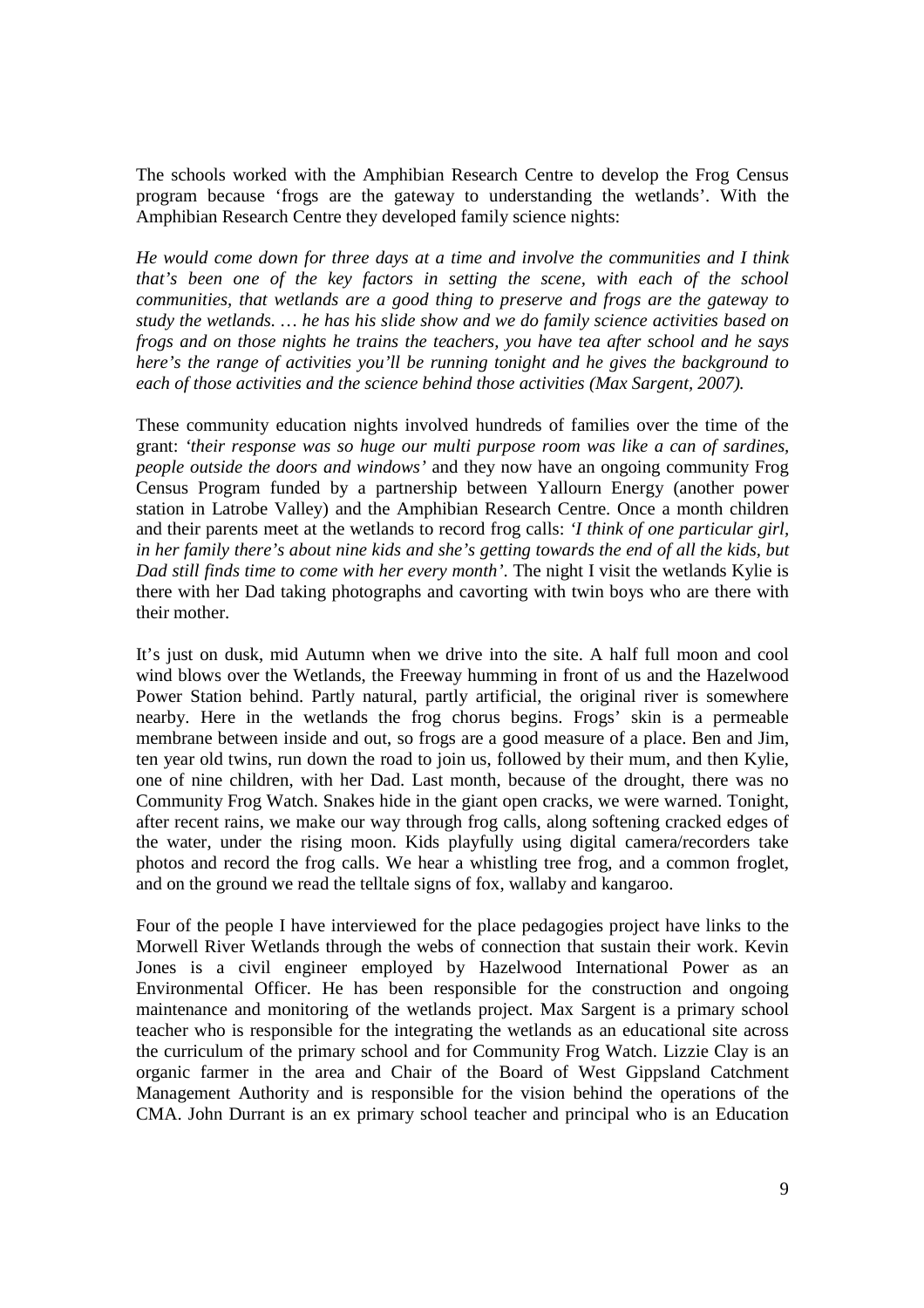The schools worked with the Amphibian Research Centre to develop the Frog Census program because 'frogs are the gateway to understanding the wetlands'. With the Amphibian Research Centre they developed family science nights:

*He would come down for three days at a time and involve the communities and I think that's been one of the key factors in setting the scene, with each of the school communities, that wetlands are a good thing to preserve and frogs are the gateway to study the wetlands. … he has his slide show and we do family science activities based on frogs and on those nights he trains the teachers, you have tea after school and he says here's the range of activities you'll be running tonight and he gives the background to each of those activities and the science behind those activities (Max Sargent, 2007).* 

These community education nights involved hundreds of families over the time of the grant: *'their response was so huge our multi purpose room was like a can of sardines, people outside the doors and windows'* and they now have an ongoing community Frog Census Program funded by a partnership between Yallourn Energy (another power station in Latrobe Valley) and the Amphibian Research Centre. Once a month children and their parents meet at the wetlands to record frog calls: *'I think of one particular girl, in her family there's about nine kids and she's getting towards the end of all the kids, but Dad still finds time to come with her every month'*. The night I visit the wetlands Kylie is there with her Dad taking photographs and cavorting with twin boys who are there with their mother.

It's just on dusk, mid Autumn when we drive into the site. A half full moon and cool wind blows over the Wetlands, the Freeway humming in front of us and the Hazelwood Power Station behind. Partly natural, partly artificial, the original river is somewhere nearby. Here in the wetlands the frog chorus begins. Frogs' skin is a permeable membrane between inside and out, so frogs are a good measure of a place. Ben and Jim, ten year old twins, run down the road to join us, followed by their mum, and then Kylie, one of nine children, with her Dad. Last month, because of the drought, there was no Community Frog Watch. Snakes hide in the giant open cracks, we were warned. Tonight, after recent rains, we make our way through frog calls, along softening cracked edges of the water, under the rising moon. Kids playfully using digital camera/recorders take photos and record the frog calls. We hear a whistling tree frog, and a common froglet, and on the ground we read the telltale signs of fox, wallaby and kangaroo.

Four of the people I have interviewed for the place pedagogies project have links to the Morwell River Wetlands through the webs of connection that sustain their work. Kevin Jones is a civil engineer employed by Hazelwood International Power as an Environmental Officer. He has been responsible for the construction and ongoing maintenance and monitoring of the wetlands project. Max Sargent is a primary school teacher who is responsible for the integrating the wetlands as an educational site across the curriculum of the primary school and for Community Frog Watch. Lizzie Clay is an organic farmer in the area and Chair of the Board of West Gippsland Catchment Management Authority and is responsible for the vision behind the operations of the CMA. John Durrant is an ex primary school teacher and principal who is an Education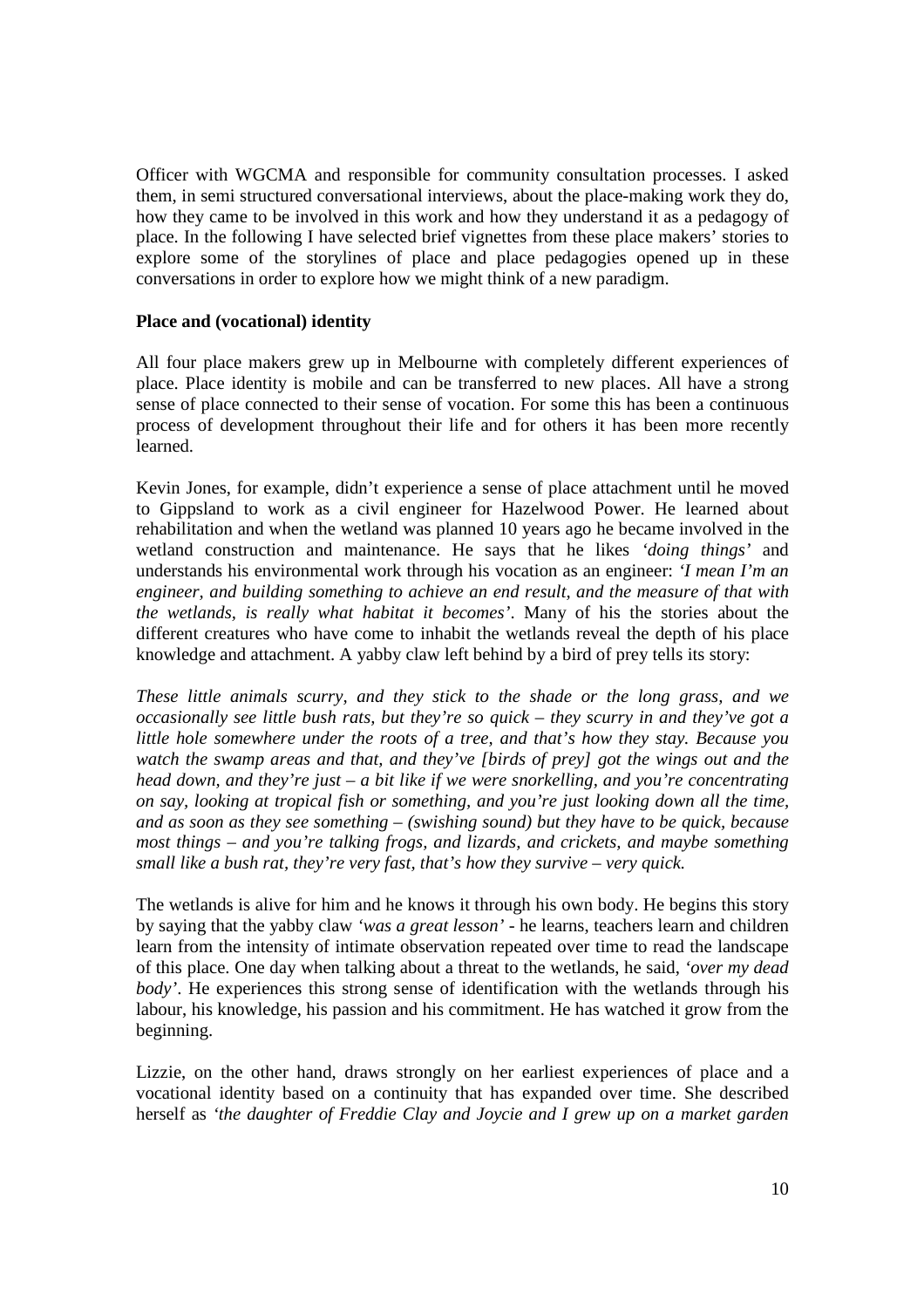Officer with WGCMA and responsible for community consultation processes. I asked them, in semi structured conversational interviews, about the place-making work they do, how they came to be involved in this work and how they understand it as a pedagogy of place. In the following I have selected brief vignettes from these place makers' stories to explore some of the storylines of place and place pedagogies opened up in these conversations in order to explore how we might think of a new paradigm.

# **Place and (vocational) identity**

All four place makers grew up in Melbourne with completely different experiences of place. Place identity is mobile and can be transferred to new places. All have a strong sense of place connected to their sense of vocation. For some this has been a continuous process of development throughout their life and for others it has been more recently learned.

Kevin Jones, for example, didn't experience a sense of place attachment until he moved to Gippsland to work as a civil engineer for Hazelwood Power. He learned about rehabilitation and when the wetland was planned 10 years ago he became involved in the wetland construction and maintenance. He says that he likes *'doing things'* and understands his environmental work through his vocation as an engineer: *'I mean I'm an engineer, and building something to achieve an end result, and the measure of that with the wetlands, is really what habitat it becomes'*. Many of his the stories about the different creatures who have come to inhabit the wetlands reveal the depth of his place knowledge and attachment. A yabby claw left behind by a bird of prey tells its story:

*These little animals scurry, and they stick to the shade or the long grass, and we occasionally see little bush rats, but they're so quick – they scurry in and they've got a little hole somewhere under the roots of a tree, and that's how they stay. Because you watch the swamp areas and that, and they've [birds of prey] got the wings out and the head down, and they're just – a bit like if we were snorkelling, and you're concentrating on say, looking at tropical fish or something, and you're just looking down all the time, and as soon as they see something – (swishing sound) but they have to be quick, because most things – and you're talking frogs, and lizards, and crickets, and maybe something small like a bush rat, they're very fast, that's how they survive – very quick.* 

The wetlands is alive for him and he knows it through his own body. He begins this story by saying that the yabby claw *'was a great lesson'* - he learns, teachers learn and children learn from the intensity of intimate observation repeated over time to read the landscape of this place. One day when talking about a threat to the wetlands, he said, *'over my dead body'*. He experiences this strong sense of identification with the wetlands through his labour, his knowledge, his passion and his commitment. He has watched it grow from the beginning.

Lizzie, on the other hand, draws strongly on her earliest experiences of place and a vocational identity based on a continuity that has expanded over time. She described herself as *'the daughter of Freddie Clay and Joycie and I grew up on a market garden*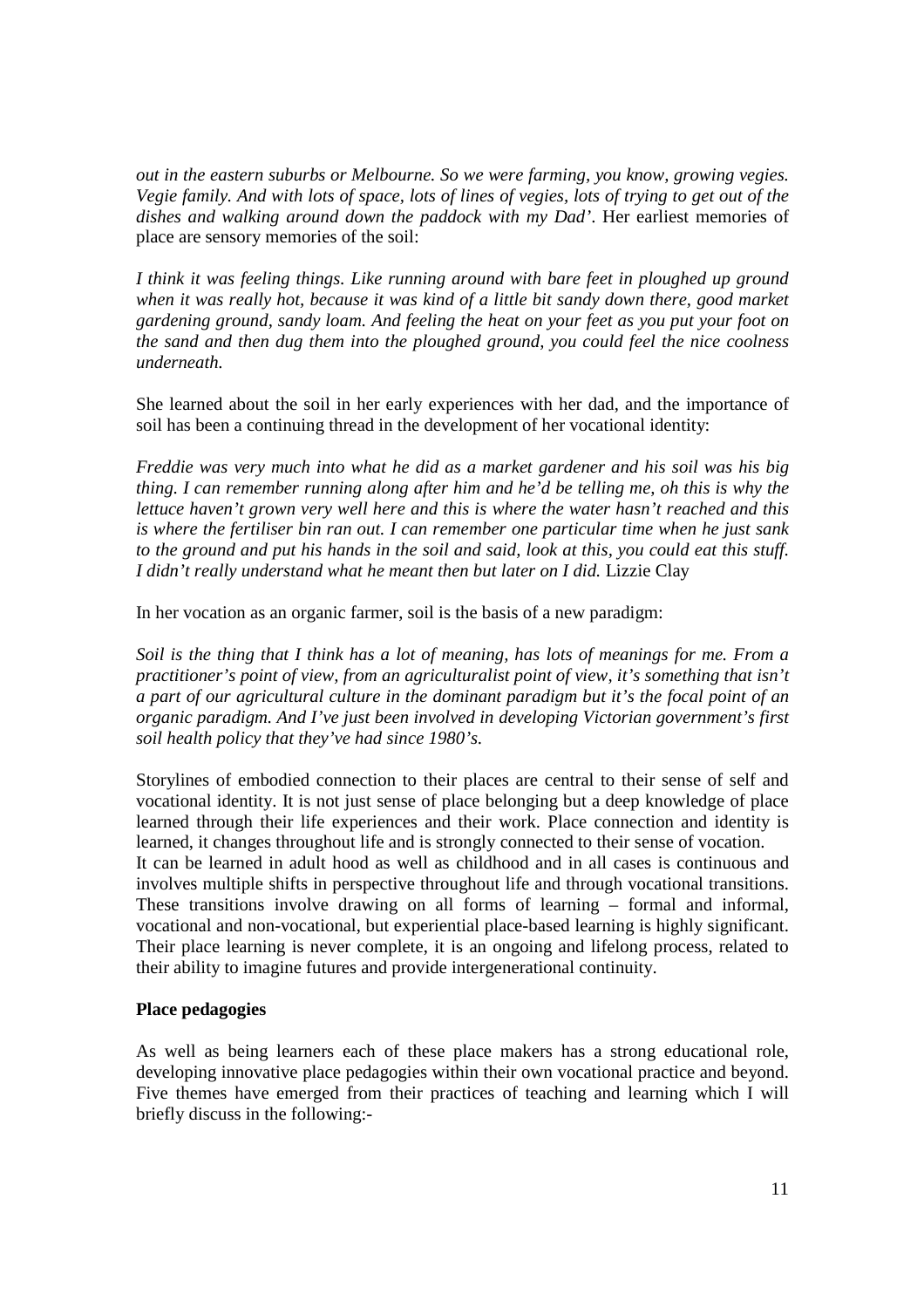*out in the eastern suburbs or Melbourne. So we were farming, you know, growing vegies. Vegie family. And with lots of space, lots of lines of vegies, lots of trying to get out of the dishes and walking around down the paddock with my Dad'*. Her earliest memories of place are sensory memories of the soil:

*I think it was feeling things. Like running around with bare feet in ploughed up ground when it was really hot, because it was kind of a little bit sandy down there, good market gardening ground, sandy loam. And feeling the heat on your feet as you put your foot on the sand and then dug them into the ploughed ground, you could feel the nice coolness underneath.* 

She learned about the soil in her early experiences with her dad, and the importance of soil has been a continuing thread in the development of her vocational identity:

*Freddie was very much into what he did as a market gardener and his soil was his big thing. I can remember running along after him and he'd be telling me, oh this is why the lettuce haven't grown very well here and this is where the water hasn't reached and this is where the fertiliser bin ran out. I can remember one particular time when he just sank to the ground and put his hands in the soil and said, look at this, you could eat this stuff. I didn't really understand what he meant then but later on I did.* Lizzie Clay

In her vocation as an organic farmer, soil is the basis of a new paradigm:

*Soil is the thing that I think has a lot of meaning, has lots of meanings for me. From a practitioner's point of view, from an agriculturalist point of view, it's something that isn't a part of our agricultural culture in the dominant paradigm but it's the focal point of an organic paradigm. And I've just been involved in developing Victorian government's first soil health policy that they've had since 1980's.* 

Storylines of embodied connection to their places are central to their sense of self and vocational identity. It is not just sense of place belonging but a deep knowledge of place learned through their life experiences and their work. Place connection and identity is learned, it changes throughout life and is strongly connected to their sense of vocation. It can be learned in adult hood as well as childhood and in all cases is continuous and involves multiple shifts in perspective throughout life and through vocational transitions. These transitions involve drawing on all forms of learning – formal and informal, vocational and non-vocational, but experiential place-based learning is highly significant. Their place learning is never complete, it is an ongoing and lifelong process, related to their ability to imagine futures and provide intergenerational continuity.

# **Place pedagogies**

As well as being learners each of these place makers has a strong educational role, developing innovative place pedagogies within their own vocational practice and beyond. Five themes have emerged from their practices of teaching and learning which I will briefly discuss in the following:-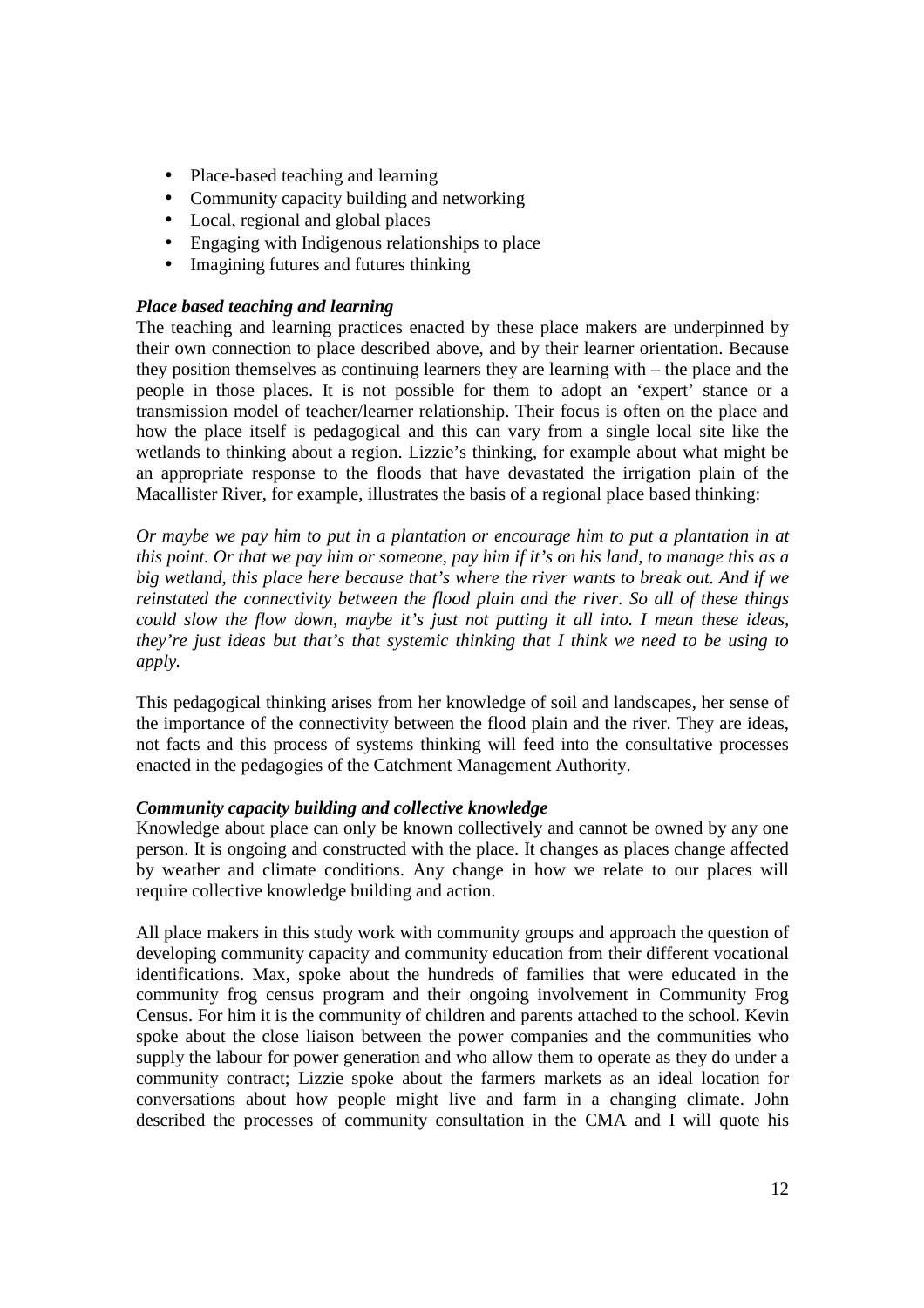- Place-based teaching and learning
- Community capacity building and networking
- Local, regional and global places
- Engaging with Indigenous relationships to place
- Imagining futures and futures thinking

# *Place based teaching and learning*

The teaching and learning practices enacted by these place makers are underpinned by their own connection to place described above, and by their learner orientation. Because they position themselves as continuing learners they are learning with – the place and the people in those places. It is not possible for them to adopt an 'expert' stance or a transmission model of teacher/learner relationship. Their focus is often on the place and how the place itself is pedagogical and this can vary from a single local site like the wetlands to thinking about a region. Lizzie's thinking, for example about what might be an appropriate response to the floods that have devastated the irrigation plain of the Macallister River, for example, illustrates the basis of a regional place based thinking:

*Or maybe we pay him to put in a plantation or encourage him to put a plantation in at this point. Or that we pay him or someone, pay him if it's on his land, to manage this as a big wetland, this place here because that's where the river wants to break out. And if we reinstated the connectivity between the flood plain and the river. So all of these things could slow the flow down, maybe it's just not putting it all into. I mean these ideas, they're just ideas but that's that systemic thinking that I think we need to be using to apply.* 

This pedagogical thinking arises from her knowledge of soil and landscapes, her sense of the importance of the connectivity between the flood plain and the river. They are ideas, not facts and this process of systems thinking will feed into the consultative processes enacted in the pedagogies of the Catchment Management Authority.

# *Community capacity building and collective knowledge*

Knowledge about place can only be known collectively and cannot be owned by any one person. It is ongoing and constructed with the place. It changes as places change affected by weather and climate conditions. Any change in how we relate to our places will require collective knowledge building and action.

All place makers in this study work with community groups and approach the question of developing community capacity and community education from their different vocational identifications. Max, spoke about the hundreds of families that were educated in the community frog census program and their ongoing involvement in Community Frog Census. For him it is the community of children and parents attached to the school. Kevin spoke about the close liaison between the power companies and the communities who supply the labour for power generation and who allow them to operate as they do under a community contract; Lizzie spoke about the farmers markets as an ideal location for conversations about how people might live and farm in a changing climate. John described the processes of community consultation in the CMA and I will quote his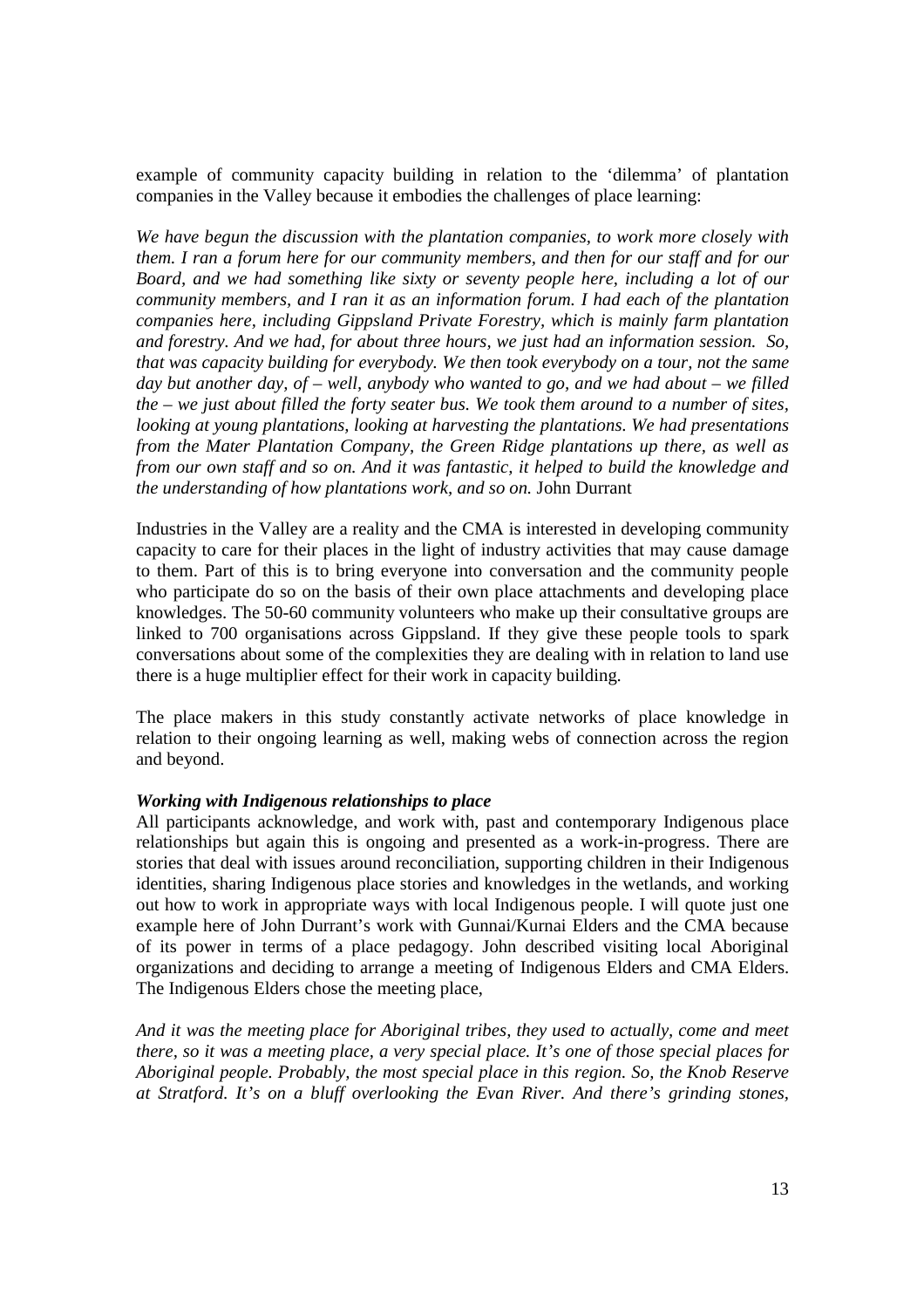example of community capacity building in relation to the 'dilemma' of plantation companies in the Valley because it embodies the challenges of place learning:

*We have begun the discussion with the plantation companies, to work more closely with them. I ran a forum here for our community members, and then for our staff and for our Board, and we had something like sixty or seventy people here, including a lot of our community members, and I ran it as an information forum. I had each of the plantation companies here, including Gippsland Private Forestry, which is mainly farm plantation and forestry. And we had, for about three hours, we just had an information session. So, that was capacity building for everybody. We then took everybody on a tour, not the same day but another day, of – well, anybody who wanted to go, and we had about – we filled the – we just about filled the forty seater bus. We took them around to a number of sites, looking at young plantations, looking at harvesting the plantations. We had presentations from the Mater Plantation Company, the Green Ridge plantations up there, as well as from our own staff and so on. And it was fantastic, it helped to build the knowledge and the understanding of how plantations work, and so on.* John Durrant

Industries in the Valley are a reality and the CMA is interested in developing community capacity to care for their places in the light of industry activities that may cause damage to them. Part of this is to bring everyone into conversation and the community people who participate do so on the basis of their own place attachments and developing place knowledges. The 50-60 community volunteers who make up their consultative groups are linked to 700 organisations across Gippsland. If they give these people tools to spark conversations about some of the complexities they are dealing with in relation to land use there is a huge multiplier effect for their work in capacity building.

The place makers in this study constantly activate networks of place knowledge in relation to their ongoing learning as well, making webs of connection across the region and beyond.

#### *Working with Indigenous relationships to place*

All participants acknowledge, and work with, past and contemporary Indigenous place relationships but again this is ongoing and presented as a work-in-progress. There are stories that deal with issues around reconciliation, supporting children in their Indigenous identities, sharing Indigenous place stories and knowledges in the wetlands, and working out how to work in appropriate ways with local Indigenous people. I will quote just one example here of John Durrant's work with Gunnai/Kurnai Elders and the CMA because of its power in terms of a place pedagogy. John described visiting local Aboriginal organizations and deciding to arrange a meeting of Indigenous Elders and CMA Elders. The Indigenous Elders chose the meeting place,

*And it was the meeting place for Aboriginal tribes, they used to actually, come and meet there, so it was a meeting place, a very special place. It's one of those special places for Aboriginal people. Probably, the most special place in this region. So, the Knob Reserve at Stratford. It's on a bluff overlooking the Evan River. And there's grinding stones,*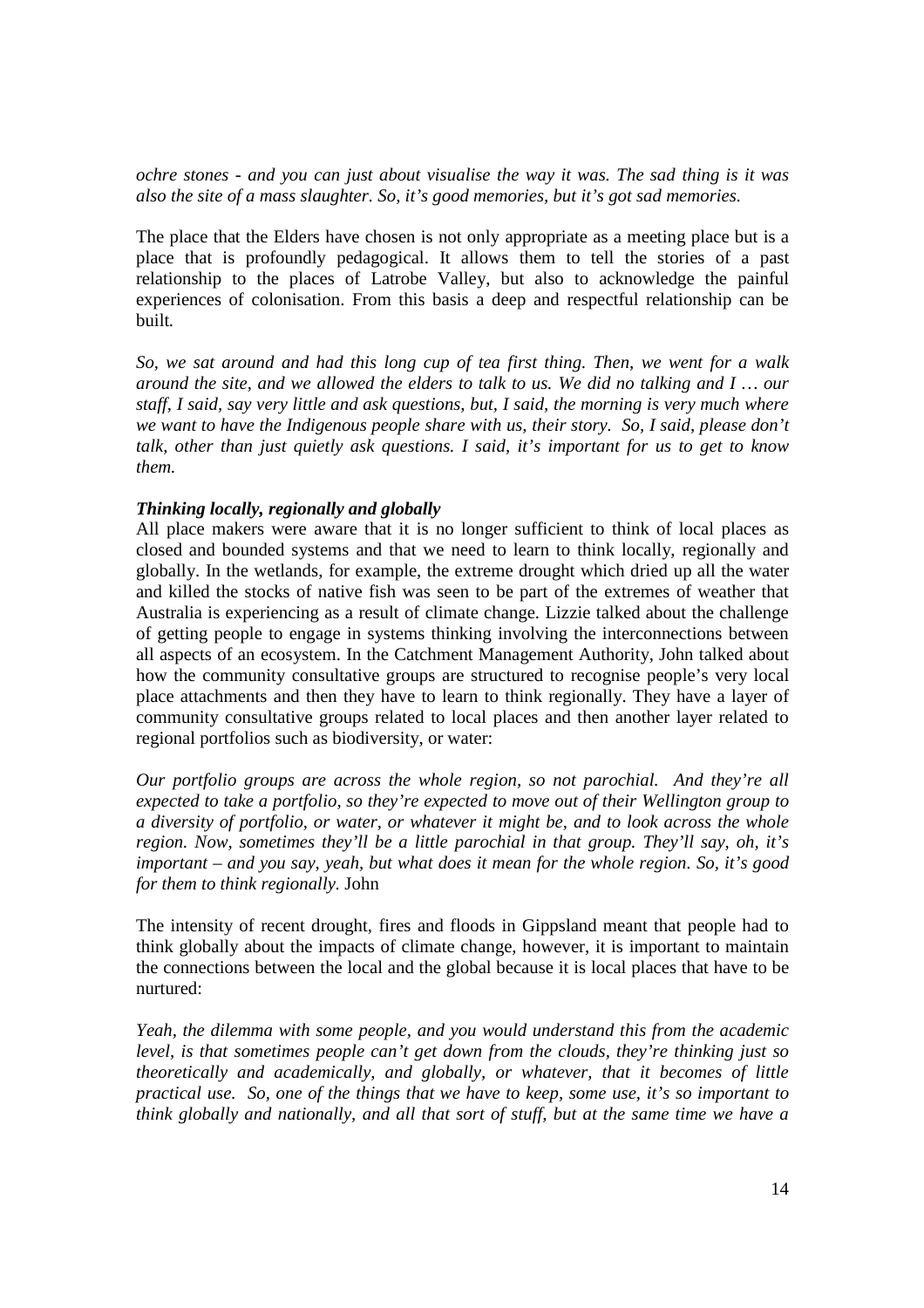*ochre stones - and you can just about visualise the way it was. The sad thing is it was also the site of a mass slaughter. So, it's good memories, but it's got sad memories.* 

The place that the Elders have chosen is not only appropriate as a meeting place but is a place that is profoundly pedagogical. It allows them to tell the stories of a past relationship to the places of Latrobe Valley, but also to acknowledge the painful experiences of colonisation. From this basis a deep and respectful relationship can be built*.* 

*So, we sat around and had this long cup of tea first thing. Then, we went for a walk around the site, and we allowed the elders to talk to us. We did no talking and I … our staff, I said, say very little and ask questions, but, I said, the morning is very much where we want to have the Indigenous people share with us, their story. So, I said, please don't talk, other than just quietly ask questions. I said, it's important for us to get to know them.* 

#### *Thinking locally, regionally and globally*

All place makers were aware that it is no longer sufficient to think of local places as closed and bounded systems and that we need to learn to think locally, regionally and globally. In the wetlands, for example, the extreme drought which dried up all the water and killed the stocks of native fish was seen to be part of the extremes of weather that Australia is experiencing as a result of climate change. Lizzie talked about the challenge of getting people to engage in systems thinking involving the interconnections between all aspects of an ecosystem. In the Catchment Management Authority, John talked about how the community consultative groups are structured to recognise people's very local place attachments and then they have to learn to think regionally. They have a layer of community consultative groups related to local places and then another layer related to regional portfolios such as biodiversity, or water:

*Our portfolio groups are across the whole region, so not parochial. And they're all expected to take a portfolio, so they're expected to move out of their Wellington group to a diversity of portfolio, or water, or whatever it might be, and to look across the whole region. Now, sometimes they'll be a little parochial in that group. They'll say, oh, it's important – and you say, yeah, but what does it mean for the whole region. So, it's good for them to think regionally.* John

The intensity of recent drought, fires and floods in Gippsland meant that people had to think globally about the impacts of climate change, however, it is important to maintain the connections between the local and the global because it is local places that have to be nurtured:

*Yeah, the dilemma with some people, and you would understand this from the academic level, is that sometimes people can't get down from the clouds, they're thinking just so theoretically and academically, and globally, or whatever, that it becomes of little practical use. So, one of the things that we have to keep, some use, it's so important to think globally and nationally, and all that sort of stuff, but at the same time we have a*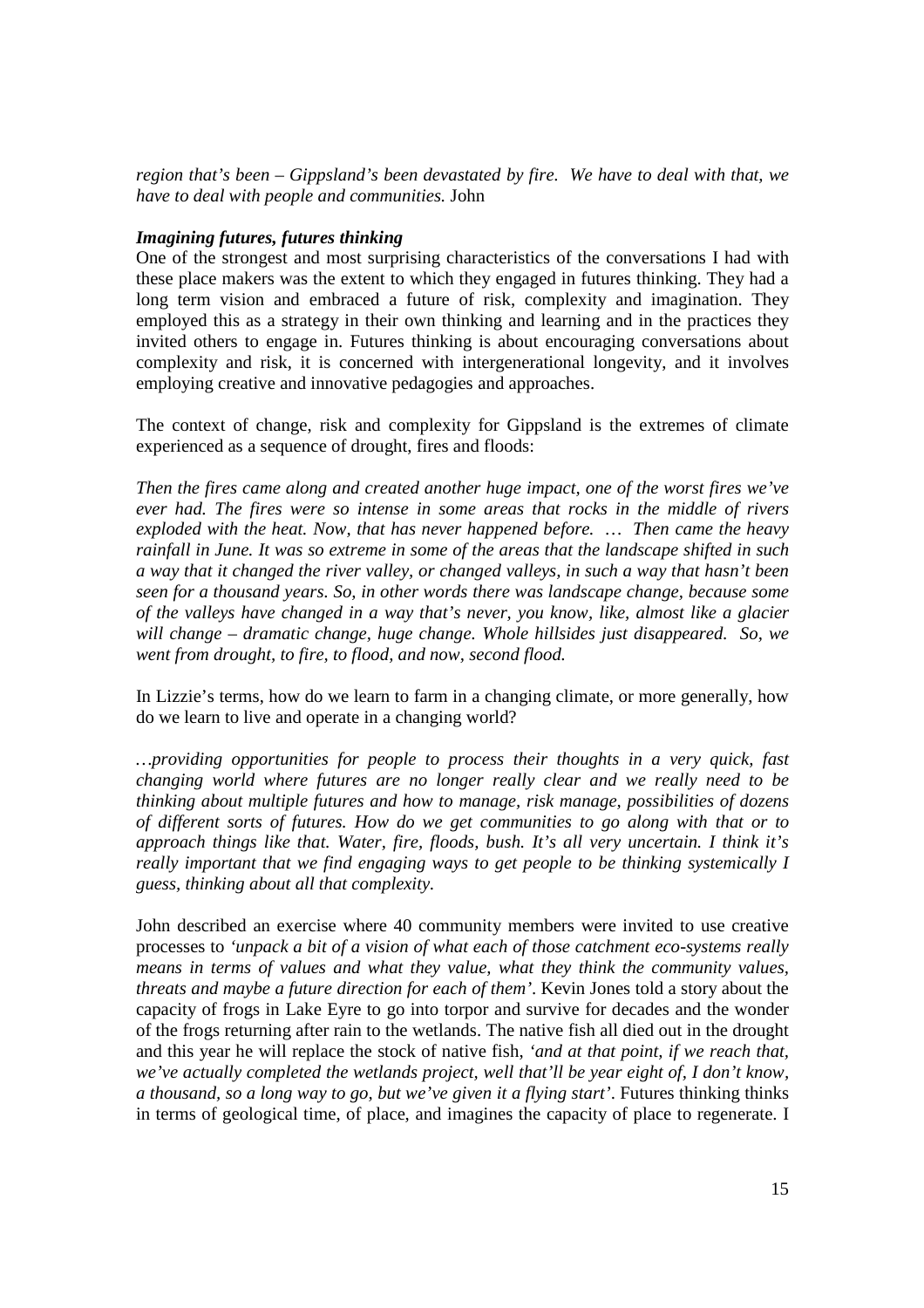*region that's been – Gippsland's been devastated by fire. We have to deal with that, we have to deal with people and communities.* John

# *Imagining futures, futures thinking*

One of the strongest and most surprising characteristics of the conversations I had with these place makers was the extent to which they engaged in futures thinking. They had a long term vision and embraced a future of risk, complexity and imagination. They employed this as a strategy in their own thinking and learning and in the practices they invited others to engage in. Futures thinking is about encouraging conversations about complexity and risk, it is concerned with intergenerational longevity, and it involves employing creative and innovative pedagogies and approaches.

The context of change, risk and complexity for Gippsland is the extremes of climate experienced as a sequence of drought, fires and floods:

*Then the fires came along and created another huge impact, one of the worst fires we've ever had. The fires were so intense in some areas that rocks in the middle of rivers exploded with the heat. Now, that has never happened before. … Then came the heavy rainfall in June. It was so extreme in some of the areas that the landscape shifted in such a way that it changed the river valley, or changed valleys, in such a way that hasn't been seen for a thousand years. So, in other words there was landscape change, because some of the valleys have changed in a way that's never, you know, like, almost like a glacier will change – dramatic change, huge change. Whole hillsides just disappeared. So, we went from drought, to fire, to flood, and now, second flood.* 

In Lizzie's terms, how do we learn to farm in a changing climate, or more generally, how do we learn to live and operate in a changing world?

*…providing opportunities for people to process their thoughts in a very quick, fast changing world where futures are no longer really clear and we really need to be thinking about multiple futures and how to manage, risk manage, possibilities of dozens of different sorts of futures. How do we get communities to go along with that or to approach things like that. Water, fire, floods, bush. It's all very uncertain. I think it's really important that we find engaging ways to get people to be thinking systemically I guess, thinking about all that complexity.* 

John described an exercise where 40 community members were invited to use creative processes to *'unpack a bit of a vision of what each of those catchment eco-systems really means in terms of values and what they value, what they think the community values, threats and maybe a future direction for each of them'*. Kevin Jones told a story about the capacity of frogs in Lake Eyre to go into torpor and survive for decades and the wonder of the frogs returning after rain to the wetlands. The native fish all died out in the drought and this year he will replace the stock of native fish, *'and at that point, if we reach that, we've actually completed the wetlands project, well that'll be year eight of, I don't know, a thousand, so a long way to go, but we've given it a flying start'*. Futures thinking thinks in terms of geological time, of place, and imagines the capacity of place to regenerate. I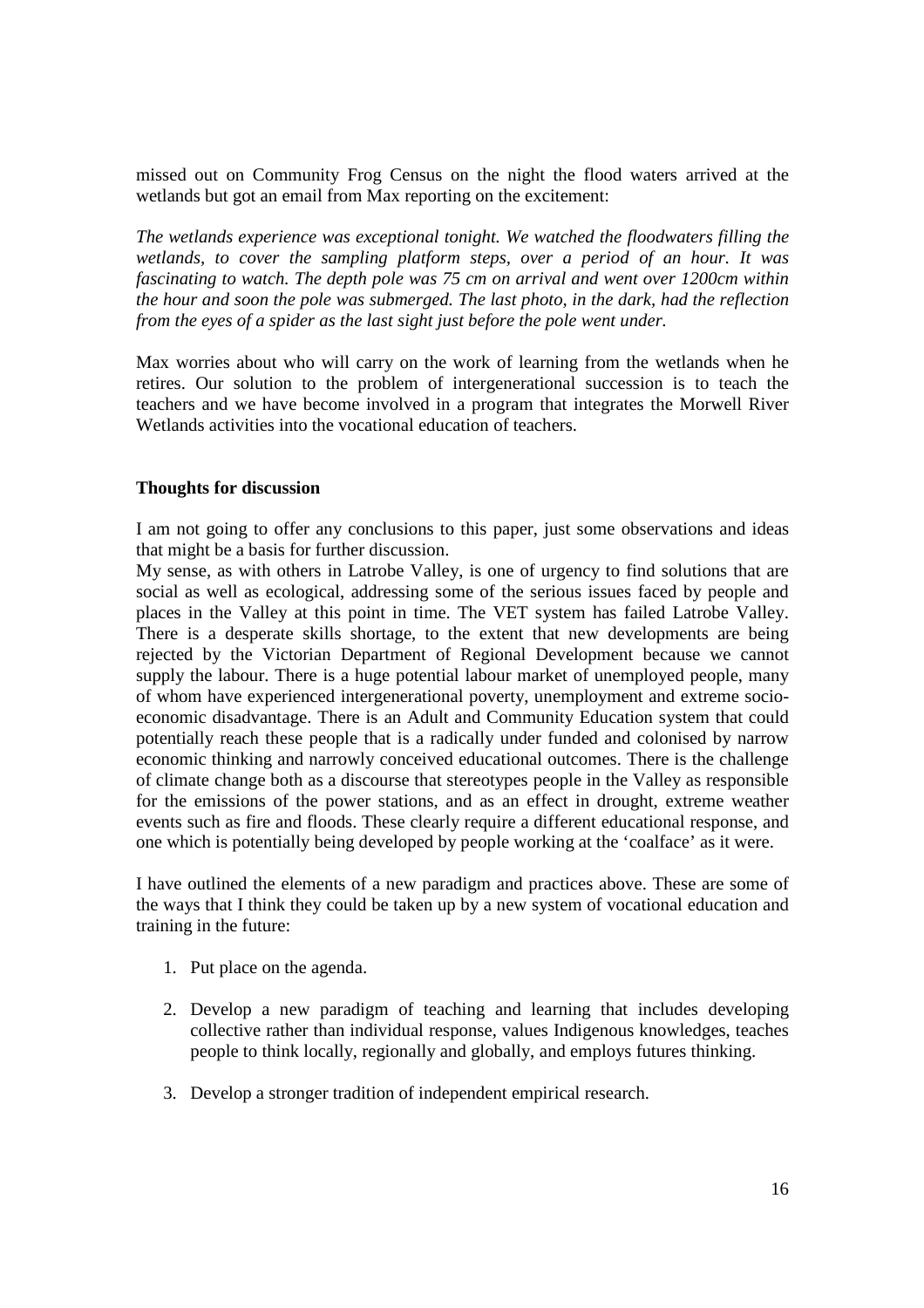missed out on Community Frog Census on the night the flood waters arrived at the wetlands but got an email from Max reporting on the excitement:

*The wetlands experience was exceptional tonight. We watched the floodwaters filling the wetlands, to cover the sampling platform steps, over a period of an hour. It was fascinating to watch. The depth pole was 75 cm on arrival and went over 1200cm within the hour and soon the pole was submerged. The last photo, in the dark, had the reflection from the eyes of a spider as the last sight just before the pole went under.* 

Max worries about who will carry on the work of learning from the wetlands when he retires. Our solution to the problem of intergenerational succession is to teach the teachers and we have become involved in a program that integrates the Morwell River Wetlands activities into the vocational education of teachers.

#### **Thoughts for discussion**

I am not going to offer any conclusions to this paper, just some observations and ideas that might be a basis for further discussion.

My sense, as with others in Latrobe Valley, is one of urgency to find solutions that are social as well as ecological, addressing some of the serious issues faced by people and places in the Valley at this point in time. The VET system has failed Latrobe Valley. There is a desperate skills shortage, to the extent that new developments are being rejected by the Victorian Department of Regional Development because we cannot supply the labour. There is a huge potential labour market of unemployed people, many of whom have experienced intergenerational poverty, unemployment and extreme socioeconomic disadvantage. There is an Adult and Community Education system that could potentially reach these people that is a radically under funded and colonised by narrow economic thinking and narrowly conceived educational outcomes. There is the challenge of climate change both as a discourse that stereotypes people in the Valley as responsible for the emissions of the power stations, and as an effect in drought, extreme weather events such as fire and floods. These clearly require a different educational response, and one which is potentially being developed by people working at the 'coalface' as it were.

I have outlined the elements of a new paradigm and practices above. These are some of the ways that I think they could be taken up by a new system of vocational education and training in the future:

- 1. Put place on the agenda.
- 2. Develop a new paradigm of teaching and learning that includes developing collective rather than individual response, values Indigenous knowledges, teaches people to think locally, regionally and globally, and employs futures thinking.
- 3. Develop a stronger tradition of independent empirical research.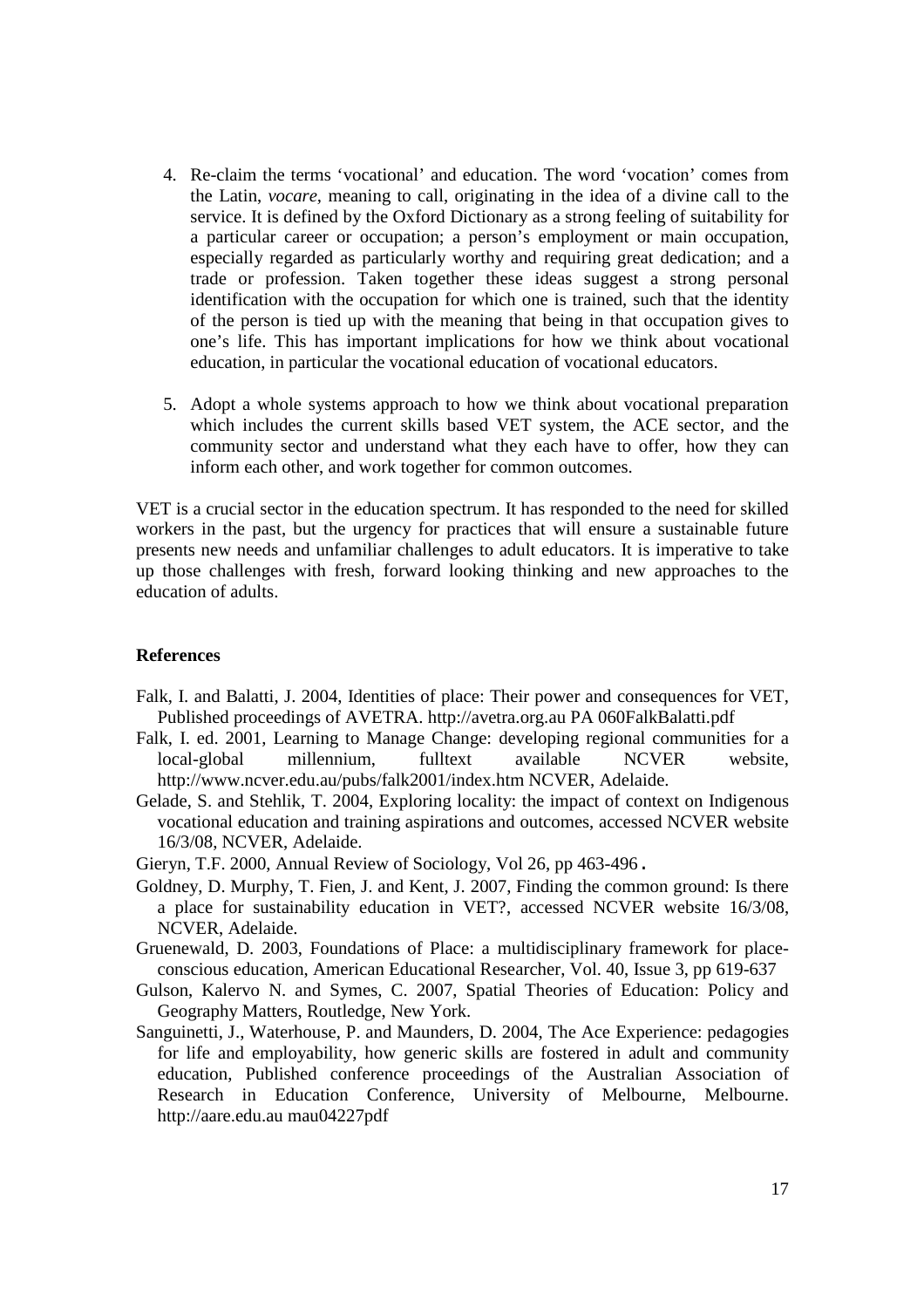- 4. Re-claim the terms 'vocational' and education. The word 'vocation' comes from the Latin, *vocare,* meaning to call, originating in the idea of a divine call to the service. It is defined by the Oxford Dictionary as a strong feeling of suitability for a particular career or occupation; a person's employment or main occupation, especially regarded as particularly worthy and requiring great dedication; and a trade or profession. Taken together these ideas suggest a strong personal identification with the occupation for which one is trained, such that the identity of the person is tied up with the meaning that being in that occupation gives to one's life. This has important implications for how we think about vocational education, in particular the vocational education of vocational educators.
- 5. Adopt a whole systems approach to how we think about vocational preparation which includes the current skills based VET system, the ACE sector, and the community sector and understand what they each have to offer, how they can inform each other, and work together for common outcomes.

VET is a crucial sector in the education spectrum. It has responded to the need for skilled workers in the past, but the urgency for practices that will ensure a sustainable future presents new needs and unfamiliar challenges to adult educators. It is imperative to take up those challenges with fresh, forward looking thinking and new approaches to the education of adults.

#### **References**

- Falk, I. and Balatti, J. 2004, Identities of place: Their power and consequences for VET, Published proceedings of AVETRA. http://avetra.org.au PA 060FalkBalatti.pdf
- Falk, I. ed. 2001, Learning to Manage Change: developing regional communities for a local-global millennium, fulltext available NCVER website, http://www.ncver.edu.au/pubs/falk2001/index.htm NCVER, Adelaide.
- Gelade, S. and Stehlik, T. 2004, Exploring locality: the impact of context on Indigenous vocational education and training aspirations and outcomes, accessed NCVER website 16/3/08, NCVER, Adelaide.
- Gieryn, T.F. 2000, Annual Review of Sociology, Vol 26, pp 463-496.
- Goldney, D. Murphy, T. Fien, J. and Kent, J. 2007, Finding the common ground: Is there a place for sustainability education in VET?, accessed NCVER website 16/3/08, NCVER, Adelaide.
- Gruenewald, D. 2003, Foundations of Place: a multidisciplinary framework for placeconscious education, American Educational Researcher, Vol. 40, Issue 3, pp 619-637
- Gulson, Kalervo N. and Symes, C. 2007, Spatial Theories of Education: Policy and Geography Matters, Routledge, New York.
- Sanguinetti, J., Waterhouse, P. and Maunders, D. 2004, The Ace Experience: pedagogies for life and employability, how generic skills are fostered in adult and community education, Published conference proceedings of the Australian Association of Research in Education Conference, University of Melbourne, Melbourne. http://aare.edu.au mau04227pdf